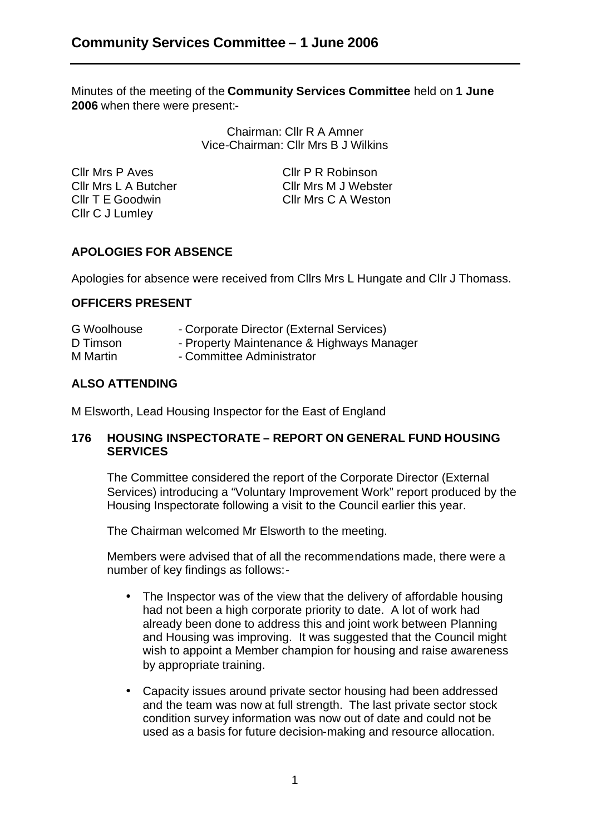Minutes of the meeting of the **Community Services Committee** held on **1 June 2006** when there were present:-

> Chairman: Cllr R A Amner Vice-Chairman: Cllr Mrs B J Wilkins

Cllr Mrs P Aves Cllr P R Robinson Cllr T E Goodwin Cllr Mrs C A Weston Cllr C J Lumley

Cllr Mrs L A Butcher Cllr Mrs M J Webster

# **APOLOGIES FOR ABSENCE**

Apologies for absence were received from Cllrs Mrs L Hungate and Cllr J Thomass.

### **OFFICERS PRESENT**

| <b>G</b> Woolhouse | - Corporate Director (External Services)  |
|--------------------|-------------------------------------------|
| D Timson           | - Property Maintenance & Highways Manager |
| M Martin           | - Committee Administrator                 |

## **ALSO ATTENDING**

M Elsworth, Lead Housing Inspector for the East of England

### **176 HOUSING INSPECTORATE – REPORT ON GENERAL FUND HOUSING SERVICES**

The Committee considered the report of the Corporate Director (External Services) introducing a "Voluntary Improvement Work" report produced by the Housing Inspectorate following a visit to the Council earlier this year.

The Chairman welcomed Mr Elsworth to the meeting.

Members were advised that of all the recommendations made, there were a number of key findings as follows:-

- The Inspector was of the view that the delivery of affordable housing had not been a high corporate priority to date. A lot of work had already been done to address this and joint work between Planning and Housing was improving. It was suggested that the Council might wish to appoint a Member champion for housing and raise awareness by appropriate training.
- Capacity issues around private sector housing had been addressed and the team was now at full strength. The last private sector stock condition survey information was now out of date and could not be used as a basis for future decision-making and resource allocation.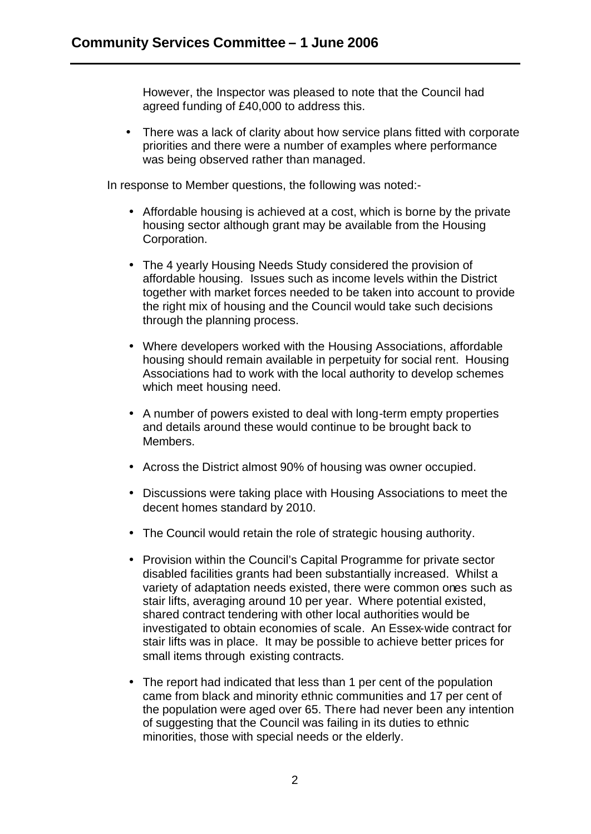However, the Inspector was pleased to note that the Council had agreed funding of £40,000 to address this.

• There was a lack of clarity about how service plans fitted with corporate priorities and there were a number of examples where performance was being observed rather than managed.

In response to Member questions, the following was noted:-

- Affordable housing is achieved at a cost, which is borne by the private housing sector although grant may be available from the Housing Corporation.
- The 4 yearly Housing Needs Study considered the provision of affordable housing. Issues such as income levels within the District together with market forces needed to be taken into account to provide the right mix of housing and the Council would take such decisions through the planning process.
- Where developers worked with the Housing Associations, affordable housing should remain available in perpetuity for social rent. Housing Associations had to work with the local authority to develop schemes which meet housing need.
- A number of powers existed to deal with long-term empty properties and details around these would continue to be brought back to Members.
- Across the District almost 90% of housing was owner occupied.
- Discussions were taking place with Housing Associations to meet the decent homes standard by 2010.
- The Council would retain the role of strategic housing authority.
- Provision within the Council's Capital Programme for private sector disabled facilities grants had been substantially increased. Whilst a variety of adaptation needs existed, there were common ones such as stair lifts, averaging around 10 per year. Where potential existed, shared contract tendering with other local authorities would be investigated to obtain economies of scale. An Essex-wide contract for stair lifts was in place. It may be possible to achieve better prices for small items through existing contracts.
- The report had indicated that less than 1 per cent of the population came from black and minority ethnic communities and 17 per cent of the population were aged over 65. There had never been any intention of suggesting that the Council was failing in its duties to ethnic minorities, those with special needs or the elderly.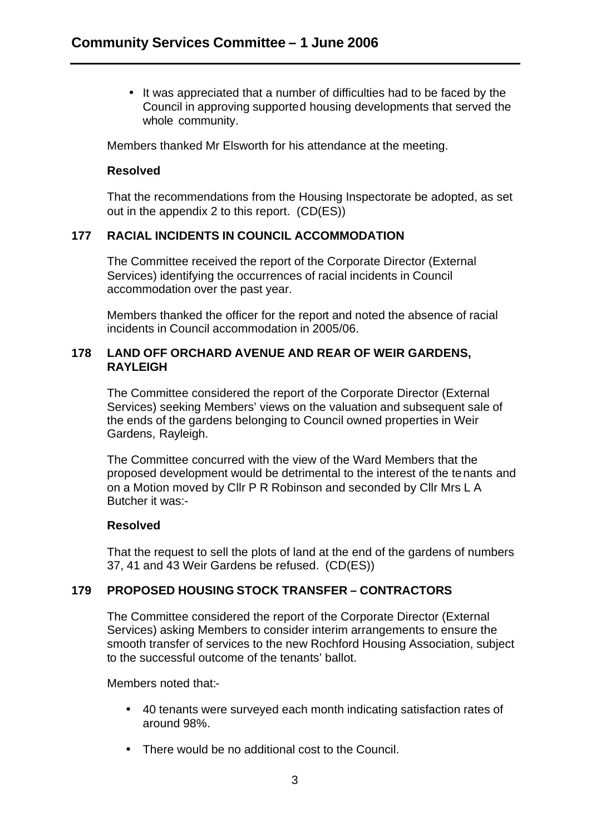• It was appreciated that a number of difficulties had to be faced by the Council in approving supported housing developments that served the whole community.

Members thanked Mr Elsworth for his attendance at the meeting.

#### **Resolved**

That the recommendations from the Housing Inspectorate be adopted, as set out in the appendix 2 to this report. (CD(ES))

### **177 RACIAL INCIDENTS IN COUNCIL ACCOMMODATION**

The Committee received the report of the Corporate Director (External Services) identifying the occurrences of racial incidents in Council accommodation over the past year.

Members thanked the officer for the report and noted the absence of racial incidents in Council accommodation in 2005/06.

### **178 LAND OFF ORCHARD AVENUE AND REAR OF WEIR GARDENS, RAYLEIGH**

The Committee considered the report of the Corporate Director (External Services) seeking Members' views on the valuation and subsequent sale of the ends of the gardens belonging to Council owned properties in Weir Gardens, Rayleigh.

The Committee concurred with the view of the Ward Members that the proposed development would be detrimental to the interest of the te nants and on a Motion moved by Cllr P R Robinson and seconded by Cllr Mrs L A Butcher it was:-

### **Resolved**

That the request to sell the plots of land at the end of the gardens of numbers 37, 41 and 43 Weir Gardens be refused. (CD(ES))

## **179 PROPOSED HOUSING STOCK TRANSFER – CONTRACTORS**

The Committee considered the report of the Corporate Director (External Services) asking Members to consider interim arrangements to ensure the smooth transfer of services to the new Rochford Housing Association, subject to the successful outcome of the tenants' ballot.

Members noted that:-

- 40 tenants were surveyed each month indicating satisfaction rates of around 98%.
- There would be no additional cost to the Council.